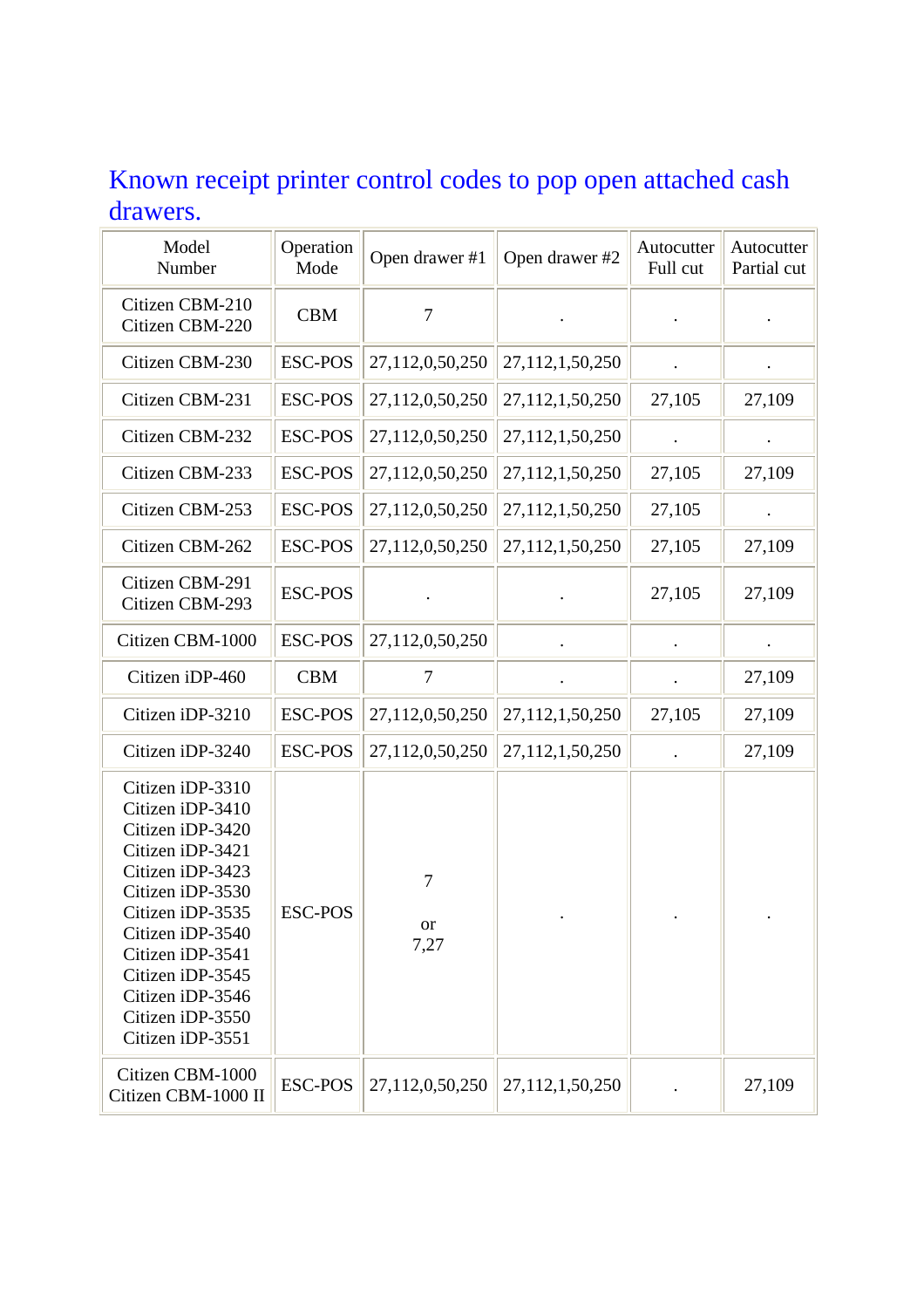## Known receipt printer control codes to pop open attached cash drawers.

| Model<br>Number                                                                                                                                                                                                                                                  | Operation<br>Mode | Open drawer #1  | Open drawer #2  | Autocutter<br>Full cut | Autocutter<br>Partial cut |
|------------------------------------------------------------------------------------------------------------------------------------------------------------------------------------------------------------------------------------------------------------------|-------------------|-----------------|-----------------|------------------------|---------------------------|
| Citizen CBM-210<br>Citizen CBM-220                                                                                                                                                                                                                               | <b>CBM</b>        | $\tau$          |                 |                        |                           |
| Citizen CBM-230                                                                                                                                                                                                                                                  | <b>ESC-POS</b>    | 27,112,0,50,250 | 27,112,1,50,250 |                        |                           |
| Citizen CBM-231                                                                                                                                                                                                                                                  | <b>ESC-POS</b>    | 27,112,0,50,250 | 27,112,1,50,250 | 27,105                 | 27,109                    |
| Citizen CBM-232                                                                                                                                                                                                                                                  | <b>ESC-POS</b>    | 27,112,0,50,250 | 27,112,1,50,250 |                        |                           |
| Citizen CBM-233                                                                                                                                                                                                                                                  | <b>ESC-POS</b>    | 27,112,0,50,250 | 27,112,1,50,250 | 27,105                 | 27,109                    |
| Citizen CBM-253                                                                                                                                                                                                                                                  | <b>ESC-POS</b>    | 27,112,0,50,250 | 27,112,1,50,250 | 27,105                 |                           |
| Citizen CBM-262                                                                                                                                                                                                                                                  | <b>ESC-POS</b>    | 27,112,0,50,250 | 27,112,1,50,250 | 27,105                 | 27,109                    |
| Citizen CBM-291<br>Citizen CBM-293                                                                                                                                                                                                                               | <b>ESC-POS</b>    |                 |                 | 27,105                 | 27,109                    |
| Citizen CBM-1000                                                                                                                                                                                                                                                 | <b>ESC-POS</b>    | 27,112,0,50,250 |                 |                        |                           |
| Citizen iDP-460                                                                                                                                                                                                                                                  | <b>CBM</b>        | 7               |                 |                        | 27,109                    |
| Citizen iDP-3210                                                                                                                                                                                                                                                 | <b>ESC-POS</b>    | 27,112,0,50,250 | 27,112,1,50,250 | 27,105                 | 27,109                    |
| Citizen iDP-3240                                                                                                                                                                                                                                                 | <b>ESC-POS</b>    | 27,112,0,50,250 | 27,112,1,50,250 |                        | 27,109                    |
| Citizen iDP-3310<br>Citizen iDP-3410<br>Citizen iDP-3420<br>Citizen iDP-3421<br>Citizen iDP-3423<br>Citizen iDP-3530<br>Citizen iDP-3535<br>Citizen iDP-3540<br>Citizen iDP-3541<br>Citizen iDP-3545<br>Citizen iDP-3546<br>Citizen iDP-3550<br>Citizen iDP-3551 | <b>ESC-POS</b>    | 7<br>or<br>7,27 |                 |                        |                           |
| Citizen CBM-1000<br>Citizen CBM-1000 II                                                                                                                                                                                                                          | <b>ESC-POS</b>    | 27,112,0,50,250 | 27,112,1,50,250 |                        | 27,109                    |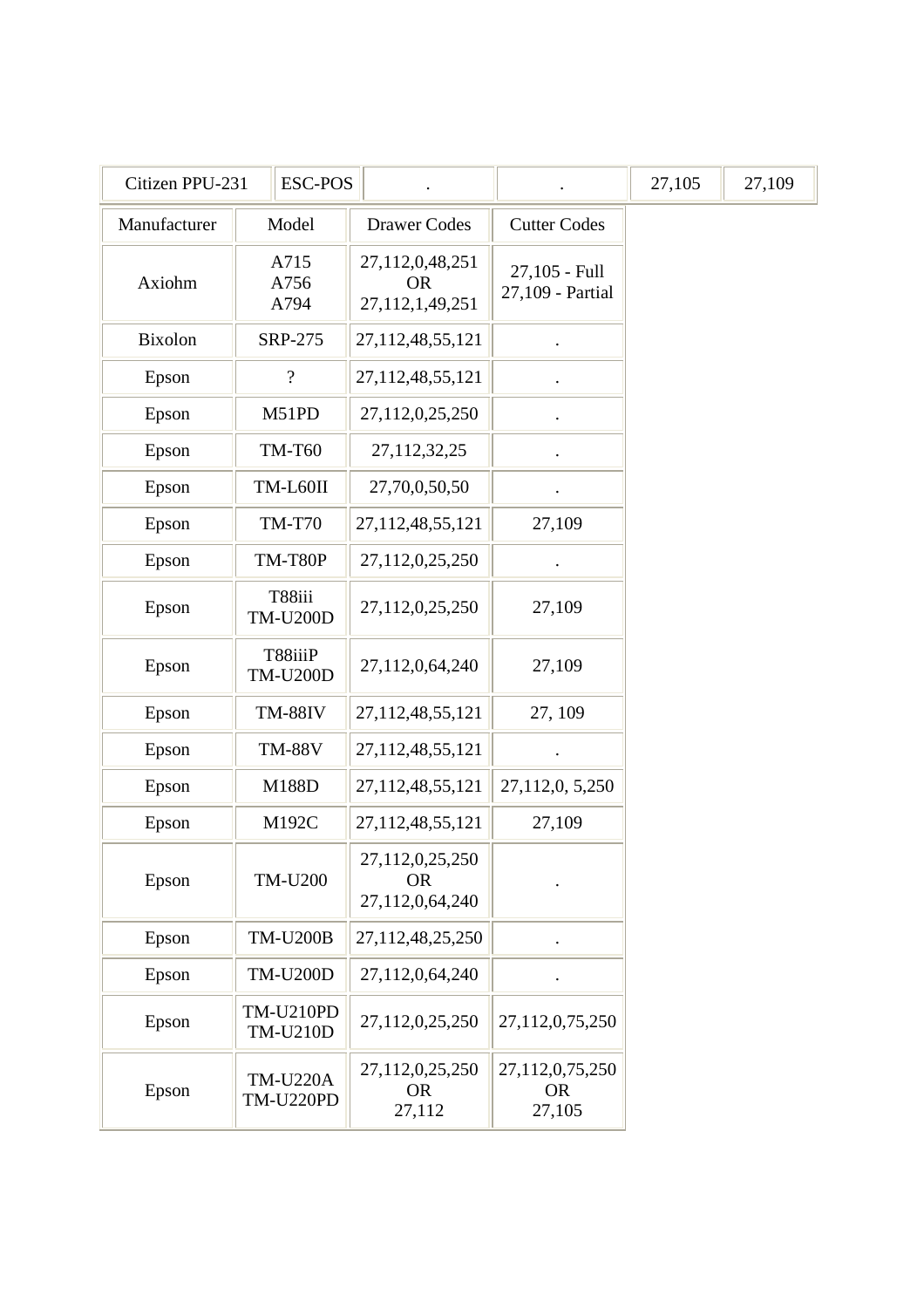| Citizen PPU-231 | <b>ESC-POS</b>                      |                                                 |                                        | 27,105 | 27,109 |
|-----------------|-------------------------------------|-------------------------------------------------|----------------------------------------|--------|--------|
| Manufacturer    | Model                               | <b>Drawer Codes</b>                             | <b>Cutter Codes</b>                    |        |        |
| Axiohm          | A715<br>A756<br>A794                | 27,112,0,48,251<br><b>OR</b><br>27,112,1,49,251 | 27,105 - Full<br>27,109 - Partial      |        |        |
| Bixolon         | SRP-275                             | 27,112,48,55,121                                |                                        |        |        |
| Epson           | $\overline{?}$                      | 27,112,48,55,121                                |                                        |        |        |
| Epson           | M51PD                               | 27,112,0,25,250                                 |                                        |        |        |
| Epson           | <b>TM-T60</b>                       | 27,112,32,25                                    |                                        |        |        |
| Epson           | TM-L60II                            | 27,70,0,50,50                                   |                                        |        |        |
| Epson           | <b>TM-T70</b>                       | 27,112,48,55,121                                | 27,109                                 |        |        |
| Epson           | TM-T80P                             | 27,112,0,25,250                                 |                                        |        |        |
| Epson           | T88iii<br><b>TM-U200D</b>           | 27,112,0,25,250                                 | 27,109                                 |        |        |
| Epson           | T88iiiP<br><b>TM-U200D</b>          | 27,112,0,64,240                                 | 27,109                                 |        |        |
| Epson           | <b>TM-88IV</b>                      | 27,112,48,55,121                                | 27, 109                                |        |        |
| Epson           | <b>TM-88V</b>                       | 27,112,48,55,121                                |                                        |        |        |
| Epson           | M188D                               | 27,112,48,55,121                                | 27,112,0, 5,250                        |        |        |
| Epson           | M192C                               | 27,112,48,55,121                                | 27,109                                 |        |        |
| Epson           | <b>TM-U200</b>                      | 27,112,0,25,250<br><b>OR</b><br>27,112,0,64,240 |                                        |        |        |
| Epson           | <b>TM-U200B</b>                     | 27,112,48,25,250                                |                                        |        |        |
| Epson           | <b>TM-U200D</b>                     | 27,112,0,64,240                                 |                                        |        |        |
| Epson           | <b>TM-U210PD</b><br><b>TM-U210D</b> | 27,112,0,25,250                                 | 27,112,0,75,250                        |        |        |
| Epson           | <b>TM-U220A</b><br><b>TM-U220PD</b> | 27,112,0,25,250<br><b>OR</b><br>27,112          | 27,112,0,75,250<br><b>OR</b><br>27,105 |        |        |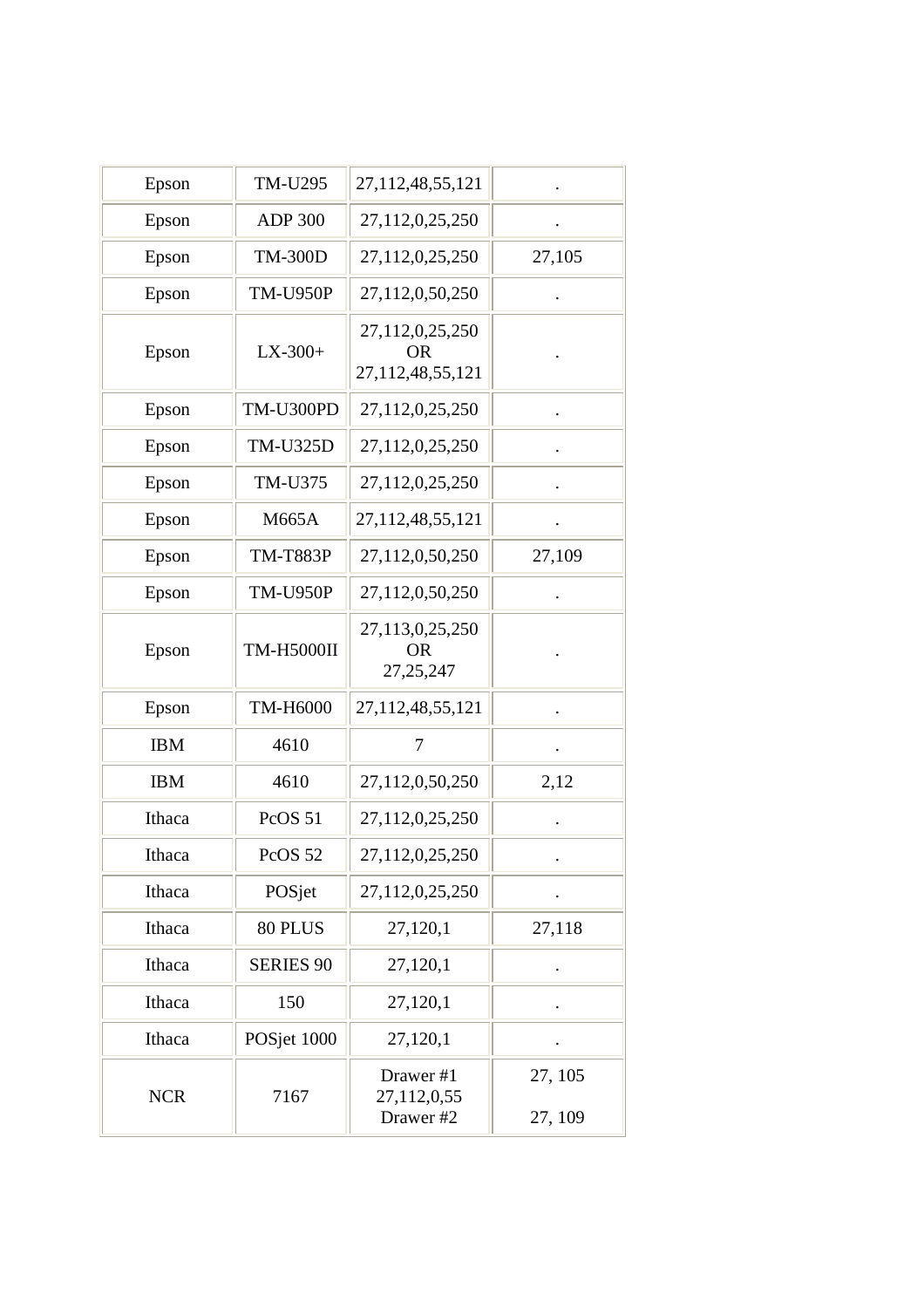| Epson      | <b>TM-U295</b>     | 27,112,48,55,121                                 |                    |
|------------|--------------------|--------------------------------------------------|--------------------|
| Epson      | <b>ADP 300</b>     | 27,112,0,25,250                                  |                    |
| Epson      | <b>TM-300D</b>     | 27,112,0,25,250                                  | 27,105             |
| Epson      | <b>TM-U950P</b>    | 27,112,0,50,250                                  |                    |
| Epson      | $LX-300+$          | 27,112,0,25,250<br><b>OR</b><br>27,112,48,55,121 |                    |
| Epson      | TM-U300PD          | 27,112,0,25,250                                  |                    |
| Epson      | <b>TM-U325D</b>    | 27,112,0,25,250                                  |                    |
| Epson      | TM-U375            | 27,112,0,25,250                                  |                    |
| Epson      | M665A              | 27,112,48,55,121                                 |                    |
| Epson      | <b>TM-T883P</b>    | 27,112,0,50,250                                  | 27,109             |
| Epson      | <b>TM-U950P</b>    | 27,112,0,50,250                                  |                    |
| Epson      | <b>TM-H5000II</b>  | 27,113,0,25,250<br><b>OR</b><br>27, 25, 247      |                    |
| Epson      | TM-H6000           | 27, 112, 48, 55, 121                             |                    |
| <b>IBM</b> | 4610               | 7                                                |                    |
| <b>IBM</b> | 4610               | 27,112,0,50,250                                  | 2,12               |
| Ithaca     | PcOS <sub>51</sub> | 27,112,0,25,250                                  |                    |
| Ithaca     | PcOS 52            | 27,112,0,25,250                                  |                    |
| Ithaca     | POSjet             | 27,112,0,25,250                                  |                    |
| Ithaca     | 80 PLUS            | 27,120,1                                         | 27,118             |
| Ithaca     | <b>SERIES 90</b>   | 27,120,1                                         |                    |
| Ithaca     | 150                | 27,120,1                                         |                    |
| Ithaca     | POSjet 1000        | 27,120,1                                         |                    |
| <b>NCR</b> | 7167               | Drawer #1<br>27,112,0,55<br>Drawer #2            | 27, 105<br>27, 109 |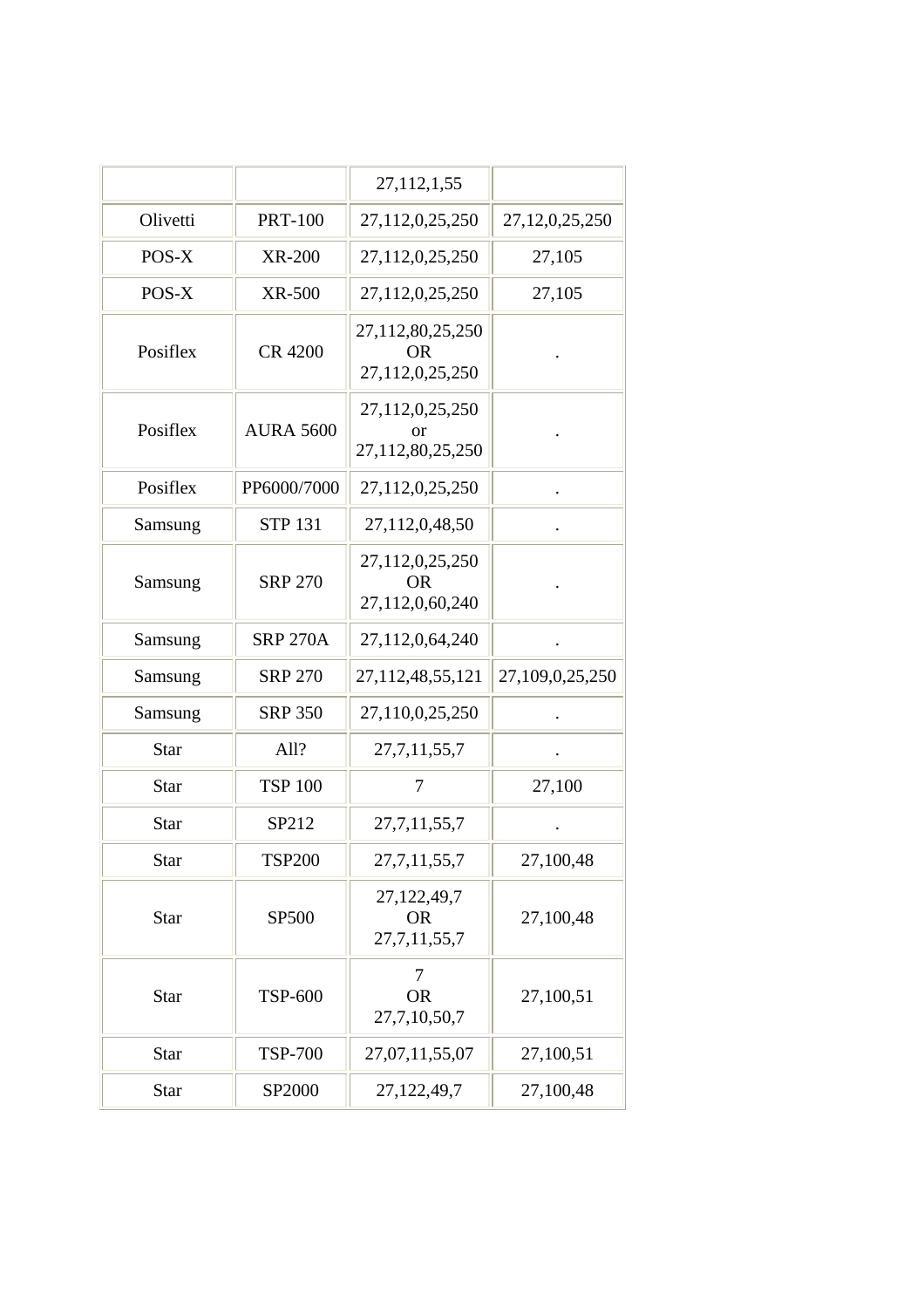|             |                  | 27, 112, 1, 55                                   |                    |
|-------------|------------------|--------------------------------------------------|--------------------|
| Olivetti    | <b>PRT-100</b>   | 27,112,0,25,250                                  | 27, 12, 0, 25, 250 |
| POS-X       | <b>XR-200</b>    | 27,112,0,25,250                                  | 27,105             |
| POS-X       | <b>XR-500</b>    | 27,112,0,25,250                                  | 27,105             |
| Posiflex    | <b>CR 4200</b>   | 27,112,80,25,250<br><b>OR</b><br>27,112,0,25,250 |                    |
| Posiflex    | <b>AURA 5600</b> | 27,112,0,25,250<br>or<br>27,112,80,25,250        |                    |
| Posiflex    | PP6000/7000      | 27,112,0,25,250                                  |                    |
| Samsung     | <b>STP 131</b>   | 27,112,0,48,50                                   |                    |
| Samsung     | <b>SRP 270</b>   | 27,112,0,25,250<br><b>OR</b><br>27,112,0,60,240  |                    |
| Samsung     | <b>SRP 270A</b>  | 27,112,0,64,240                                  |                    |
| Samsung     | <b>SRP 270</b>   | 27, 112, 48, 55, 121                             | 27,109,0,25,250    |
| Samsung     | <b>SRP 350</b>   | 27,110,0,25,250                                  |                    |
| <b>Star</b> | All?             | 27, 7, 11, 55, 7                                 |                    |
| <b>Star</b> | <b>TSP 100</b>   | 7                                                | 27,100             |
| <b>Star</b> | SP212            | 27, 7, 11, 55, 7                                 |                    |
| Star        | TSP200           | 27, 7, 11, 55, 7                                 | 27,100,48          |
| Star        | SP500            | 27,122,49,7<br><b>OR</b><br>27, 7, 11, 55, 7     | 27,100,48          |
| <b>Star</b> | <b>TSP-600</b>   | 7<br><b>OR</b><br>27,7,10,50,7                   | 27,100,51          |
| <b>Star</b> | <b>TSP-700</b>   | 27,07,11,55,07                                   | 27,100,51          |
| <b>Star</b> | SP2000           | 27,122,49,7                                      | 27,100,48          |